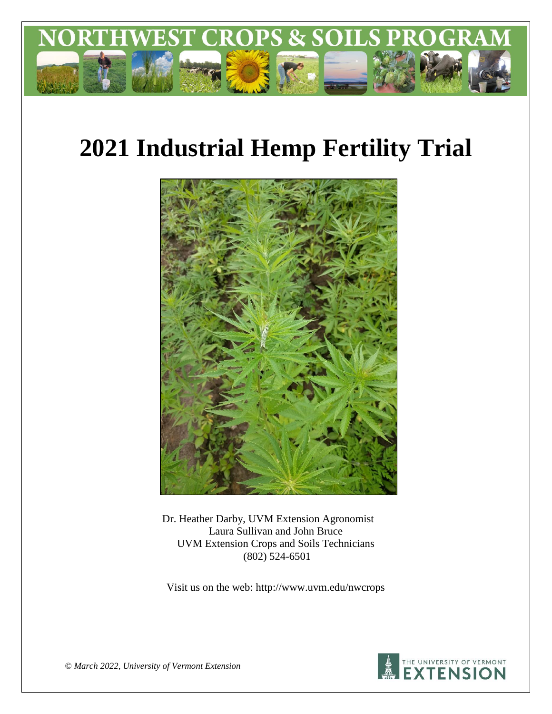

# **2021 Industrial Hemp Fertility Trial**



Dr. Heather Darby, UVM Extension Agronomist Laura Sullivan and John Bruce UVM Extension Crops and Soils Technicians (802) 524-6501

Visit us on the web: http://www.uvm.edu/nwcrops



*© March 2022, University of Vermont Extension*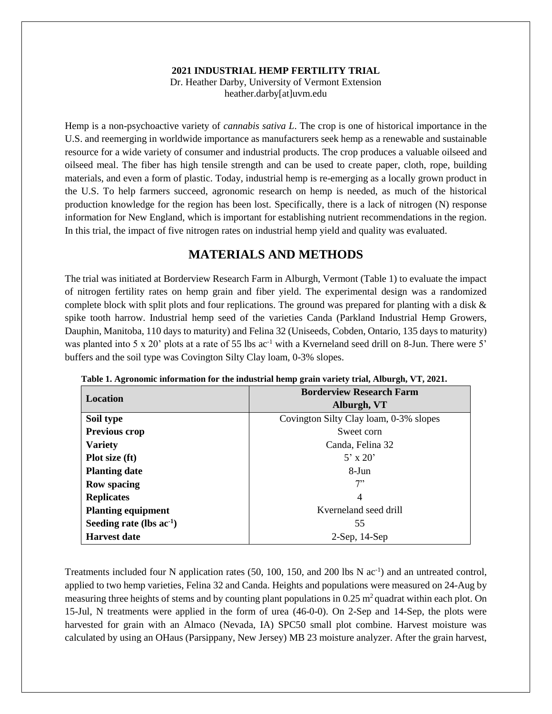#### **2021 INDUSTRIAL HEMP FERTILITY TRIAL**

Dr. Heather Darby, University of Vermont Extension heather.darby[at]uvm.edu

Hemp is a non-psychoactive variety of *cannabis sativa L*. The crop is one of historical importance in the U.S. and reemerging in worldwide importance as manufacturers seek hemp as a renewable and sustainable resource for a wide variety of consumer and industrial products. The crop produces a valuable oilseed and oilseed meal. The fiber has high tensile strength and can be used to create paper, cloth, rope, building materials, and even a form of plastic. Today, industrial hemp is re-emerging as a locally grown product in the U.S. To help farmers succeed, agronomic research on hemp is needed, as much of the historical production knowledge for the region has been lost. Specifically, there is a lack of nitrogen (N) response information for New England, which is important for establishing nutrient recommendations in the region. In this trial, the impact of five nitrogen rates on industrial hemp yield and quality was evaluated.

## **MATERIALS AND METHODS**

The trial was initiated at Borderview Research Farm in Alburgh, Vermont (Table 1) to evaluate the impact of nitrogen fertility rates on hemp grain and fiber yield. The experimental design was a randomized complete block with split plots and four replications. The ground was prepared for planting with a disk & spike tooth harrow. Industrial hemp seed of the varieties Canda (Parkland Industrial Hemp Growers, Dauphin, Manitoba, 110 days to maturity) and Felina 32 (Uniseeds, Cobden, Ontario, 135 days to maturity) was planted into 5 x 20' plots at a rate of 55 lbs ac<sup>-1</sup> with a Kverneland seed drill on 8-Jun. There were 5' buffers and the soil type was Covington Silty Clay loam, 0-3% slopes.

| <b>Borderview Research Farm</b>        |
|----------------------------------------|
| Alburgh, VT                            |
| Covington Silty Clay loam, 0-3% slopes |
| Sweet corn                             |
| Canda, Felina 32                       |
| $5' \times 20'$                        |
| 8-Jun                                  |
| 7"                                     |
| 4                                      |
| Kverneland seed drill                  |
| 55                                     |
| $2$ -Sep, $14$ -Sep                    |
|                                        |

**Table 1. Agronomic information for the industrial hemp grain variety trial, Alburgh, VT, 2021.**

Treatments included four N application rates  $(50, 100, 150,$  and  $200$  lbs N  $ac^{-1}$ ) and an untreated control, applied to two hemp varieties, Felina 32 and Canda. Heights and populations were measured on 24-Aug by measuring three heights of stems and by counting plant populations in  $0.25$  m<sup>2</sup> quadrat within each plot. On 15-Jul, N treatments were applied in the form of urea (46-0-0). On 2-Sep and 14-Sep, the plots were harvested for grain with an Almaco (Nevada, IA) SPC50 small plot combine. Harvest moisture was calculated by using an OHaus (Parsippany, New Jersey) MB 23 moisture analyzer. After the grain harvest,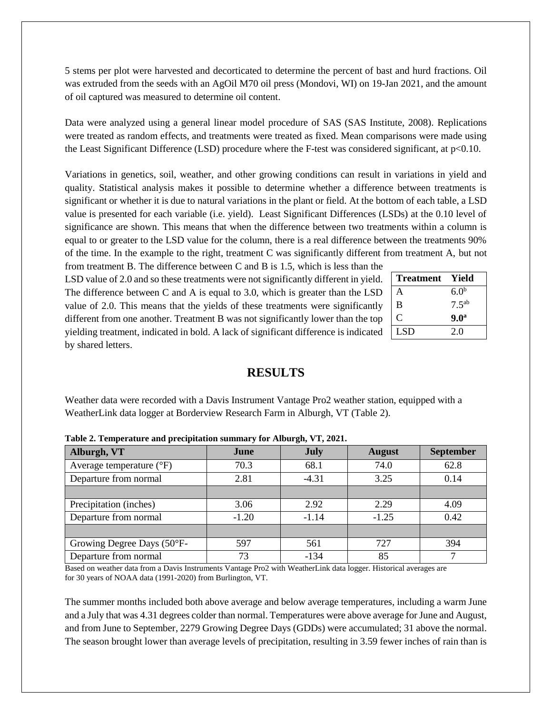5 stems per plot were harvested and decorticated to determine the percent of bast and hurd fractions. Oil was extruded from the seeds with an AgOil M70 oil press (Mondovi, WI) on 19-Jan 2021, and the amount of oil captured was measured to determine oil content.

Data were analyzed using a general linear model procedure of SAS (SAS Institute, 2008). Replications were treated as random effects, and treatments were treated as fixed. Mean comparisons were made using the Least Significant Difference (LSD) procedure where the F-test was considered significant, at p<0.10.

Variations in genetics, soil, weather, and other growing conditions can result in variations in yield and quality. Statistical analysis makes it possible to determine whether a difference between treatments is significant or whether it is due to natural variations in the plant or field. At the bottom of each table, a LSD value is presented for each variable (i.e. yield). Least Significant Differences (LSDs) at the 0.10 level of significance are shown. This means that when the difference between two treatments within a column is equal to or greater to the LSD value for the column, there is a real difference between the treatments 90% of the time. In the example to the right, treatment C was significantly different from treatment A, but not

from treatment B. The difference between C and B is 1.5, which is less than the LSD value of 2.0 and so these treatments were not significantly different in yield. The difference between C and A is equal to 3.0, which is greater than the LSD value of 2.0. This means that the yields of these treatments were significantly different from one another. Treatment B was not significantly lower than the top yielding treatment, indicated in bold. A lack of significant difference is indicated by shared letters.

| <b>Treatment</b> | Yield             |
|------------------|-------------------|
| A                | 6.0 <sup>b</sup>  |
| B                | 7.5 <sup>ab</sup> |
| ⊖                | 9.0 <sup>a</sup>  |
| <b>LSD</b>       | 2.0               |

# **RESULTS**

Weather data were recorded with a Davis Instrument Vantage Pro2 weather station, equipped with a WeatherLink data logger at Borderview Research Farm in Alburgh, VT (Table 2).

| Alburgh, VT                       | June    | <b>July</b> | <b>August</b> | <b>September</b> |  |  |  |  |  |
|-----------------------------------|---------|-------------|---------------|------------------|--|--|--|--|--|
| Average temperature $(^{\circ}F)$ | 70.3    | 68.1        | 74.0          | 62.8             |  |  |  |  |  |
| Departure from normal             | 2.81    | $-4.31$     | 3.25          | 0.14             |  |  |  |  |  |
|                                   |         |             |               |                  |  |  |  |  |  |
| Precipitation (inches)            | 3.06    | 2.92        | 2.29          | 4.09             |  |  |  |  |  |
| Departure from normal             | $-1.20$ | $-1.14$     | $-1.25$       | 0.42             |  |  |  |  |  |
|                                   |         |             |               |                  |  |  |  |  |  |
| Growing Degree Days (50°F-        | 597     | 561         | 727           | 394              |  |  |  |  |  |
| Departure from normal             | 73      | $-134$      | 85            |                  |  |  |  |  |  |

**Table 2. Temperature and precipitation summary for Alburgh, VT, 2021.**

Based on weather data from a Davis Instruments Vantage Pro2 with WeatherLink data logger. Historical averages are for 30 years of NOAA data (1991-2020) from Burlington, VT.

The summer months included both above average and below average temperatures, including a warm June and a July that was 4.31 degrees colder than normal. Temperatures were above average for June and August, and from June to September, 2279 Growing Degree Days (GDDs) were accumulated; 31 above the normal. The season brought lower than average levels of precipitation, resulting in 3.59 fewer inches of rain than is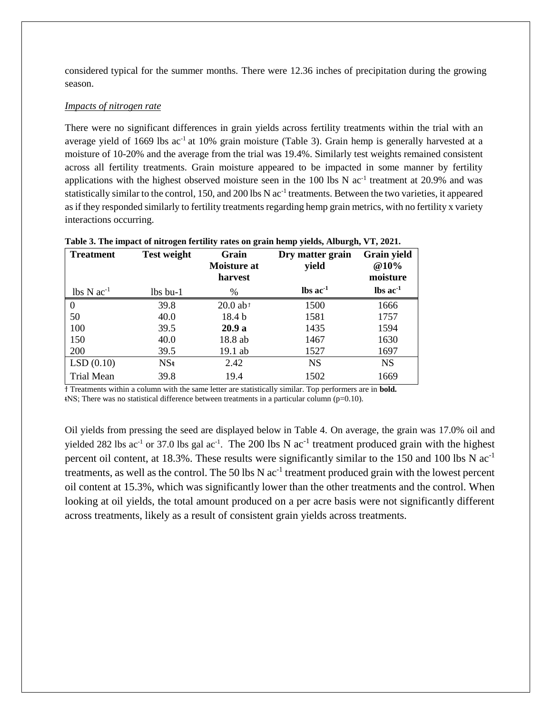considered typical for the summer months. There were 12.36 inches of precipitation during the growing season.

#### *Impacts of nitrogen rate*

There were no significant differences in grain yields across fertility treatments within the trial with an average yield of 1669 lbs ac<sup>-1</sup> at 10% grain moisture (Table 3). Grain hemp is generally harvested at a moisture of 10-20% and the average from the trial was 19.4%. Similarly test weights remained consistent across all fertility treatments. Grain moisture appeared to be impacted in some manner by fertility applications with the highest observed moisture seen in the  $100$  lbs N  $ac^{-1}$  treatment at  $20.9\%$  and was statistically similar to the control, 150, and 200 lbs N ac<sup>-1</sup> treatments. Between the two varieties, it appeared as if they responded similarly to fertility treatments regarding hemp grain metrics, with no fertility x variety interactions occurring.

| <b>Treatment</b>                     | <b>Test weight</b> | Grain<br><b>Moisture at</b><br>harvest | Dry matter grain<br>yield     | <b>Grain yield</b><br><b>@10%</b><br>moisture |
|--------------------------------------|--------------------|----------------------------------------|-------------------------------|-----------------------------------------------|
| $\text{lbs} \text{N} \text{ac}^{-1}$ | $lbs$ bu-1         | $\%$                                   | $\text{lbs}$ ac <sup>-1</sup> | $\text{lbs}$ ac <sup>-1</sup>                 |
| $\Omega$                             | 39.8               | $20.0$ ab <sup>t</sup>                 | 1500                          | 1666                                          |
| 50                                   | 40.0               | 18.4 <sub>b</sub>                      | 1581                          | 1757                                          |
| 100                                  | 39.5               | 20.9a                                  | 1435                          | 1594                                          |
| 150                                  | 40.0               | 18.8 ab                                | 1467                          | 1630                                          |
| 200                                  | 39.5               | 19.1 ab                                | 1527                          | 1697                                          |
| LSD(0.10)                            | $NS*$              | 2.42                                   | <b>NS</b>                     | <b>NS</b>                                     |
| <b>Trial Mean</b>                    | 39.8               | 19.4                                   | 1502                          | 1669                                          |

|  |  | Table 3. The impact of nitrogen fertility rates on grain hemp yields, Alburgh, VT, 2021. |  |
|--|--|------------------------------------------------------------------------------------------|--|
|  |  |                                                                                          |  |

ϯ Treatments within a column with the same letter are statistically similar. Top performers are in **bold.**  $NSS$ ; There was no statistical difference between treatments in a particular column (p=0.10).

Oil yields from pressing the seed are displayed below in Table 4. On average, the grain was 17.0% oil and yielded 282 lbs ac<sup>-1</sup> or 37.0 lbs gal ac<sup>-1</sup>. The 200 lbs N ac<sup>-1</sup> treatment produced grain with the highest percent oil content, at 18.3%. These results were significantly similar to the 150 and 100 lbs N ac-1 treatments, as well as the control. The 50 lbs N  $ac^{-1}$  treatment produced grain with the lowest percent oil content at 15.3%, which was significantly lower than the other treatments and the control. When looking at oil yields, the total amount produced on a per acre basis were not significantly different across treatments, likely as a result of consistent grain yields across treatments.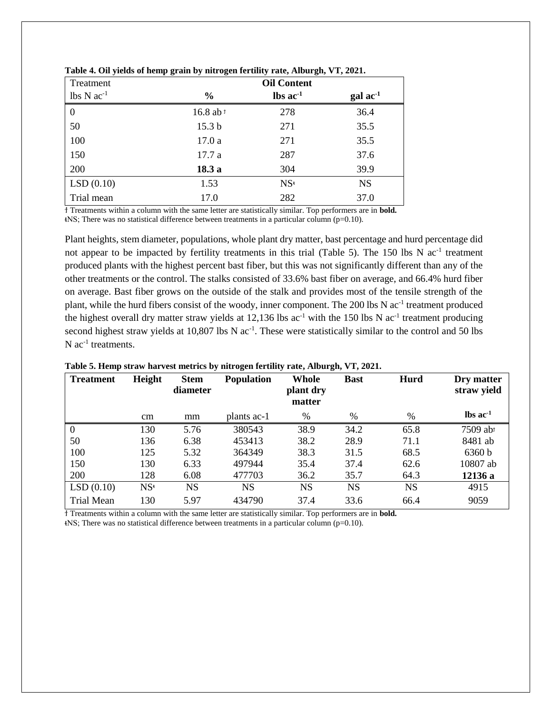| Treatment      |                      | <b>Oil Content</b>            |                   |
|----------------|----------------------|-------------------------------|-------------------|
| $lbs N ac-1$   | $\%$                 | $\text{lbs}$ ac <sup>-1</sup> | $\text{gal ac}^1$ |
| $\overline{0}$ | 16.8 ab <sup>1</sup> | 278                           | 36.4              |
| 50             | 15.3 <sub>b</sub>    | 271                           | 35.5              |
| 100            | 17.0a                | 271                           | 35.5              |
| 150            | 17.7 a               | 287                           | 37.6              |
| 200            | 18.3a                | 304                           | 39.9              |
| LSD(0.10)      | 1.53                 | $NS^*$                        | <b>NS</b>         |
| Trial mean     | 17.0                 | 282                           | 37.0              |

| Table 4. Oil yields of hemp grain by nitrogen fertility rate, Alburgh, VT, 2021. |  |  |  |  |  |  |  |  |  |  |  |  |
|----------------------------------------------------------------------------------|--|--|--|--|--|--|--|--|--|--|--|--|
|----------------------------------------------------------------------------------|--|--|--|--|--|--|--|--|--|--|--|--|

ϯ Treatments within a column with the same letter are statistically similar. Top performers are in **bold.** ᵵNS; There was no statistical difference between treatments in a particular column (p=0.10).

Plant heights, stem diameter, populations, whole plant dry matter, bast percentage and hurd percentage did not appear to be impacted by fertility treatments in this trial (Table 5). The 150 lbs N ac<sup>-1</sup> treatment produced plants with the highest percent bast fiber, but this was not significantly different than any of the other treatments or the control. The stalks consisted of 33.6% bast fiber on average, and 66.4% hurd fiber on average. Bast fiber grows on the outside of the stalk and provides most of the tensile strength of the plant, while the hurd fibers consist of the woody, inner component. The 200 lbs N ac<sup>-1</sup> treatment produced the highest overall dry matter straw yields at  $12,136$  lbs ac<sup>-1</sup> with the 150 lbs N ac<sup>-1</sup> treatment producing second highest straw yields at 10,807 lbs N ac<sup>-1</sup>. These were statistically similar to the control and 50 lbs  $N$  ac<sup>-1</sup> treatments.

| <b>Treatment</b>  | Height | <b>Stem</b><br>diameter | <b>Population</b> | Whole<br>plant dry<br>matter | <b>Bast</b> | Hurd      | Dry matter<br>straw yield     |
|-------------------|--------|-------------------------|-------------------|------------------------------|-------------|-----------|-------------------------------|
|                   | cm     | mm                      | plants ac-1       | %                            | $\%$        | $\%$      | $\text{lbs}$ ac <sup>-1</sup> |
| $\mathbf{0}$      | 130    | 5.76                    | 380543            | 38.9                         | 34.2        | 65.8      | 7509 abt                      |
| 50                | 136    | 6.38                    | 453413            | 38.2                         | 28.9        | 71.1      | 8481 ab                       |
| 100               | 125    | 5.32                    | 364349            | 38.3                         | 31.5        | 68.5      | 6360 b                        |
| 150               | 130    | 6.33                    | 497944            | 35.4                         | 37.4        | 62.6      | 10807 ab                      |
| 200               | 128    | 6.08                    | 477703            | 36.2                         | 35.7        | 64.3      | 12136 a                       |
| LSD(0.10)         | $NS^*$ | <b>NS</b>               | <b>NS</b>         | <b>NS</b>                    | <b>NS</b>   | <b>NS</b> | 4915                          |
| <b>Trial Mean</b> | 130    | 5.97                    | 434790            | 37.4                         | 33.6        | 66.4      | 9059                          |

#### **Table 5. Hemp straw harvest metrics by nitrogen fertility rate, Alburgh, VT, 2021.**

ϯ Treatments within a column with the same letter are statistically similar. Top performers are in **bold.**  $NSS$ ; There was no statistical difference between treatments in a particular column (p=0.10).